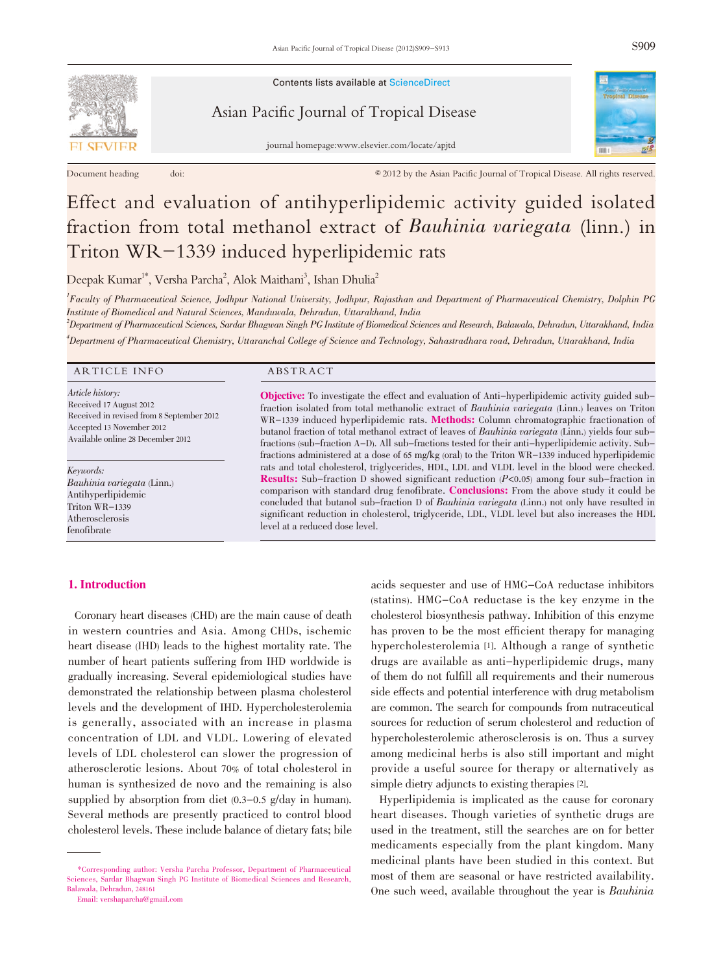

Document heading doi: doi: ♦ 62012 by the Asian Pacific Journal of Tropical Disease. All rights reserved.

Contents lists available at ScienceDirect

Asian Pacific Journal of Tropical Disease

journal homepage:www.elsevier.com/locate/apjtd



# Effect and evaluation of antihyperlipidemic activity guided isolated fraction from total methanol extract of *Bauhinia variegata* (linn.) in<br>Triton WR-1339 induced hyperlipidemic rats administered at a dose of  $\alpha$  oral  $\alpha$  (oral) to the Triton WR-1339 induced hyperlipidemic rats in the Triton WR-1339 induced hyperlipidemic rats in the Triton WR-1339 induced hyperlipidemic rats in the Triton WR-1339 i and the URCL and total cholester in the blood in the blood were checked. The blood were checked. The blood were checked. The blood were checked. The blood were checked. The blood were checked. The blood were checked. The b

 $\mathcal{R}$  sub-fraction D showed significant reduction  $\mathcal{R}$  $\rm{Deepak \ Kumar}^{1*}, \rm{Versha \ Parcha}^2, \rm{Alok \ Matihan}^{3}, \rm{ Ishan \ Dhulia}^{2}$ 

<sup>1</sup>Faculty of Pharmaceutical Science, Jodhpur National University, Jodhpur, Rajasthan and Department of Pharmaceutical Chemistry, Dolphin PG<br>Institute of Biomedical and Natural Sciences Manduvala, Debradun, Uttarakhand, In Institute of Biomedical and Natural Sciences, Manduwala, Dehradun, Uttarakhand, India

nsulate of Biomeatea and Nalata Scences, mandawad, Bentaani, Ediataniana, maid<br><sup>2</sup>Department of Pharmaceutical Sciences, Sardar Bhagwan Singh PG Institute of Biomedical Sciences and Research, Balawala, Dehradun, Uttarakhan

4 Department of Pharmaceutical Chemistry, Uttaranchal College of Science and Technology, Sahastradhara road, Dehradun, Uttarakhand, India

#### ARTICLE INFO ABSTRACT

Article history: Received 17 August 2012 Received in revised from 8 September 2012 Accepted 13 November 2012 Available online 28 December 2012

Keywords: Bauhinia variegata (Linn.) Antihyperlipidemic Triton WR-1339 Atherosclerosis fenofibrate

# 1. Introduction

Objective: To investigate the effect and evaluation of Anti-hyperlipidemic activity guided subfraction isolated from total methanolic extract of Bauhinia variegata (Linn.) leaves on Triton WR-1339 induced hyperlipidemic rats. Methods: Column chromatographic fractionation of butanol fraction of total methanol extract of leaves of Bauhinia variegata (Linn.) yields four subfractions (sub-fraction A-D). All sub-fractions tested for their anti-hyperlipidemic activity. Subfractions administered at a dose of 65 mg/kg (oral) to the Triton WR-1339 induced hyperlipidemic rats and total cholesterol, triglycerides, HDL, LDL and VLDL level in the blood were checked. Results: Sub-fraction D showed significant reduction (P<0.05) among four sub-fraction in comparison with standard drug fenofibrate. Conclusions: From the above study it could be concluded that butanol sub-fraction D of Bauhinia variegata (Linn.) not only have resulted in significant reduction in cholesterol, triglyceride, LDL, VLDL level but also increases the HDL level at a reduced dose level.

Coronary heart diseases (CHD) are the main cause of death in western countries and Asia. Among CHDs, ischemic heart disease (IHD) leads to the highest mortality rate. The number of heart patients suffering from IHD worldwide is gradually increasing. Several epidemiological studies have demonstrated the relationship between plasma cholesterol levels and the development of IHD. Hypercholesterolemia is generally, associated with an increase in plasma concentration of LDL and VLDL. Lowering of elevated levels of LDL cholesterol can slower the progression of atherosclerotic lesions. About 70% of total cholesterol in human is synthesized de novo and the remaining is also supplied by absorption from diet  $(0.3-0.5 \text{ g/day in human}).$ Several methods are presently practiced to control blood cholesterol levels. These include balance of dietary fats; bile

acids sequester and use of HMG-CoA reductase inhibitors (statins). HMG-CoA reductase is the key enzyme in the cholesterol biosynthesis pathway. Inhibition of this enzyme has proven to be the most efficient therapy for managing hypercholesterolemia [1]. Although a range of synthetic drugs are available as anti-hyperlipidemic drugs, many of them do not fulfill all requirements and their numerous side effects and potential interference with drug metabolism are common. The search for compounds from nutraceutical sources for reduction of serum cholesterol and reduction of hypercholesterolemic atherosclerosis is on. Thus a survey among medicinal herbs is also still important and might provide a useful source for therapy or alternatively as simple dietry adjuncts to existing therapies [2].

Hyperlipidemia is implicated as the cause for coronary heart diseases. Though varieties of synthetic drugs are used in the treatment, still the searches are on for better medicaments especially from the plant kingdom. Many medicinal plants have been studied in this context. But most of them are seasonal or have restricted availability. One such weed, available throughout the year is Bauhinia

<sup>\*</sup>Corresponding author: Versha Parcha Professor, Department of Pharmaceutical Sciences, Sardar Bhagwan Singh PG Institute of Biomedical Sciences and Research, Balawala, Dehradun, 248161

Email: vershaparcha@gmail.com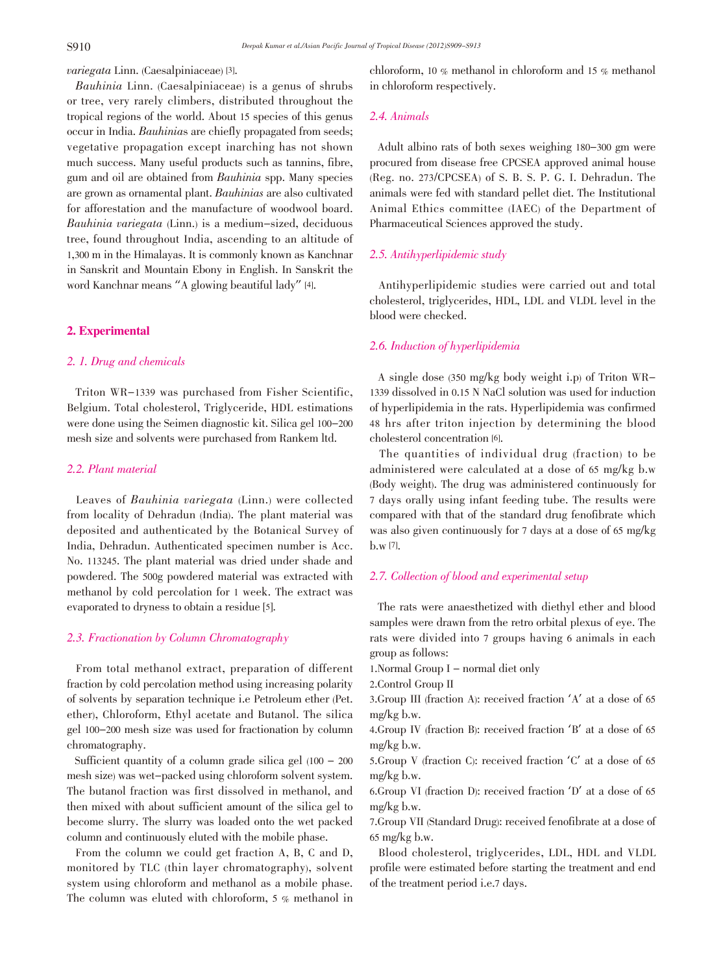variegata Linn. (Caesalpiniaceae) [3].

 Bauhinia Linn. (Caesalpiniaceae) is a genus of shrubs or tree, very rarely climbers, distributed throughout the tropical regions of the world. About 15 species of this genus occur in India. Bauhinias are chiefly propagated from seeds; vegetative propagation except inarching has not shown much success. Many useful products such as tannins, fibre, gum and oil are obtained from Bauhinia spp. Many species are grown as ornamental plant. Bauhinias are also cultivated for afforestation and the manufacture of woodwool board. Bauhinia variegata (Linn.) is a medium-sized, deciduous tree, found throughout India, ascending to an altitude of 1,300 m in the Himalayas. It is commonly known as Kanchnar in Sanskrit and Mountain Ebony in English. In Sanskrit the word Kanchnar means "A glowing beautiful lady" [4].

# 2. Experimental

# 2. 1. Drug and chemicals

Triton WR-1339 was purchased from Fisher Scientific, Belgium. Total cholesterol, Triglyceride, HDL estimations were done using the Seimen diagnostic kit. Silica gel 100-200 mesh size and solvents were purchased from Rankem ltd.

#### 2.2. Plant material

Leaves of Bauhinia variegata (Linn.) were collected from locality of Dehradun (India). The plant material was deposited and authenticated by the Botanical Survey of India, Dehradun. Authenticated specimen number is Acc. No. 113245. The plant material was dried under shade and powdered. The 500g powdered material was extracted with methanol by cold percolation for 1 week. The extract was evaporated to dryness to obtain a residue [5].

#### 2.3. Fractionation by Column Chromatography

From total methanol extract, preparation of different fraction by cold percolation method using increasing polarity of solvents by separation technique i.e Petroleum ether (Pet. ether), Chloroform, Ethyl acetate and Butanol. The silica gel 100-200 mesh size was used for fractionation by column chromatography.

Sufficient quantity of a column grade silica gel  $(100 - 200)$ mesh size) was wet-packed using chloroform solvent system. The butanol fraction was first dissolved in methanol, and then mixed with about sufficient amount of the silica gel to become slurry. The slurry was loaded onto the wet packed column and continuously eluted with the mobile phase.

From the column we could get fraction A, B, C and D, monitored by TLC (thin layer chromatography), solvent system using chloroform and methanol as a mobile phase. The column was eluted with chloroform, 5 % methanol in chloroform, 10 % methanol in chloroform and 15 % methanol in chloroform respectively.

# 2.4. Animals

Adult albino rats of both sexes weighing 180-300 gm were procured from disease free CPCSEA approved animal house (Reg. no. 273/CPCSEA) of S. B. S. P. G. I. Dehradun. The animals were fed with standard pellet diet. The Institutional Animal Ethics committee (IAEC) of the Department of Pharmaceutical Sciences approved the study.

# 2.5. Antihyperlipidemic study

Antihyperlipidemic studies were carried out and total cholesterol, triglycerides, HDL, LDL and VLDL level in the blood were checked.

# 2.6. Induction of hyperlipidemia

A single dose (350 mg/kg body weight i.p) of Triton WR-1339 dissolved in 0.15 N NaCl solution was used for induction of hyperlipidemia in the rats. Hyperlipidemia was confirmed 48 hrs after triton injection by determining the blood cholesterol concentration [6].

The quantities of individual drug (fraction) to be administered were calculated at a dose of 65 mg/kg b.w (Body weight). The drug was administered continuously for 7 days orally using infant feeding tube. The results were compared with that of the standard drug fenofibrate which was also given continuously for 7 days at a dose of 65 mg/kg b.w [7].

# 2.7. Collection of blood and experimental setup

The rats were anaesthetized with diethyl ether and blood samples were drawn from the retro orbital plexus of eye. The rats were divided into 7 groups having 6 animals in each group as follows:

1.Normal Group I – normal diet only

2.Control Group II

3.Group III (fraction A): received fraction 'A' at a dose of <sup>65</sup> mg/kg b.w.

4.Group IV (fraction B): received fraction 'B' at a dose of <sup>65</sup> mg/kg b.w.

5.Group V (fraction C): received fraction 'C' at a dose of <sup>65</sup> mg/kg b.w.

6.Group VI (fraction D): received fraction 'D' at a dose of <sup>65</sup> mg/kg b.w.

7.Group VII (Standard Drug): received fenofibrate at a dose of 65 mg/kg b.w.

Blood cholesterol, triglycerides, LDL, HDL and VLDL profile were estimated before starting the treatment and end of the treatment period i.e.7 days.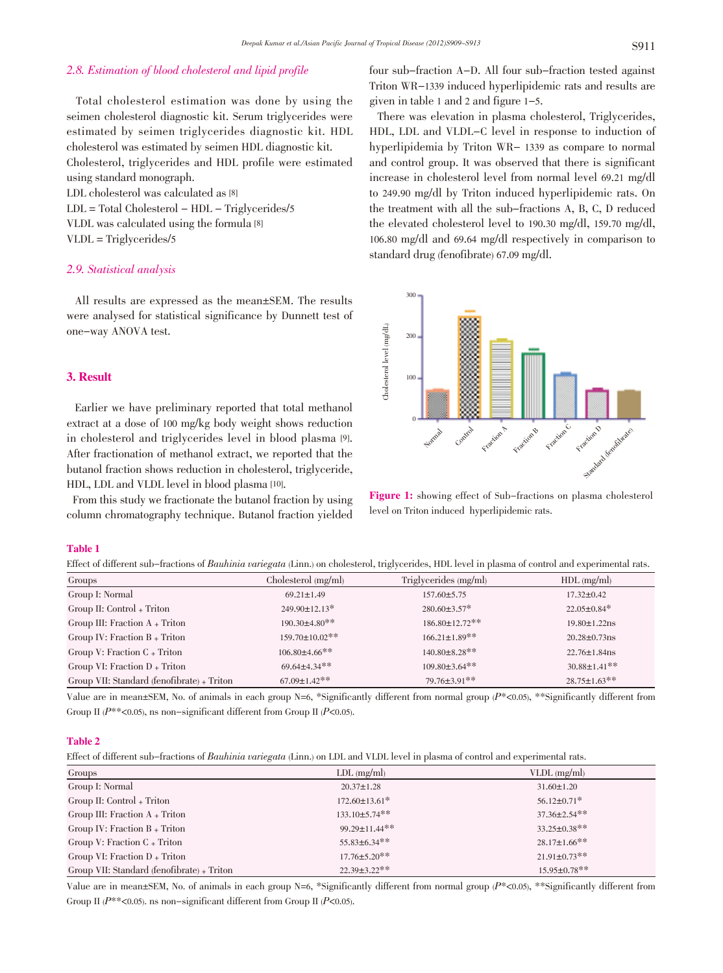# 2.8. Estimation of blood cholesterol and lipid profile

Total cholesterol estimation was done by using the seimen cholesterol diagnostic kit. Serum triglycerides were estimated by seimen triglycerides diagnostic kit. HDL cholesterol was estimated by seimen HDL diagnostic kit. Cholesterol, triglycerides and HDL profile were estimated using standard monograph. LDL cholesterol was calculated as [8]

 $LDL = Total Cholesterol - HDL - Triglycerides/5$ VLDL was calculated using the formula [8] VLDL = Triglycerides/5

# 2.9. Statistical analysis

All results are expressed as the mean±SEM. The results were analysed for statistical significance by Dunnett test of one-way ANOVA test.

# 3. Result

Earlier we have preliminary reported that total methanol extract at a dose of 100 mg/kg body weight shows reduction in cholesterol and triglycerides level in blood plasma [9]. After fractionation of methanol extract, we reported that the butanol fraction shows reduction in cholesterol, triglyceride, HDL, LDL and VLDL level in blood plasma [10].

From this study we fractionate the butanol fraction by using column chromatography technique. Butanol fraction yielded

four sub-fraction A-D. All four sub-fraction tested against Triton WR-1339 induced hyperlipidemic rats and results are given in table 1 and 2 and figure 1-5.

There was elevation in plasma cholesterol, Triglycerides, HDL, LDL and VLDL-C level in response to induction of hyperlipidemia by Triton WR- 1339 as compare to normal and control group. It was observed that there is significant increase in cholesterol level from normal level 69.21 mg/dl to 249.90 mg/dl by Triton induced hyperlipidemic rats. On the treatment with all the sub-fractions A, B, C, D reduced the elevated cholesterol level to 190.30 mg/dl, 159.70 mg/dl, 106.80 mg/dl and 69.64 mg/dl respectively in comparison to standard drug (fenofibrate) 67.09 mg/dl.



Figure 1: showing effect of Sub-fractions on plasma cholesterol level on Triton induced hyperlipidemic rats.

#### Table 1

Effect of different sub-fractions of Bauhinia variegata (Linn.) on cholesterol, triglycerides, HDL level in plasma of control and experimental rats.

| Groups                                     | Cholesterol (mg/ml)   | Triglycerides (mg/ml) | $HDL$ (mg/ml)                  |
|--------------------------------------------|-----------------------|-----------------------|--------------------------------|
| Group I: Normal                            | $69.21 \pm 1.49$      | $157.60 \pm 5.75$     | $17.32 \pm 0.42$               |
| Group II: Control + Triton                 | $249.90 \pm 12.13$ *  | $280.60 \pm 3.57$ *   | $22.05 \pm 0.84$ *             |
| Group III: Fraction $A$ + Triton           | $190.30\pm4.80**$     | $186.80 \pm 12.72$ ** | $19.80 \pm 1.22$ ns            |
| Group IV: Fraction $B + Triton$            | $159.70 \pm 10.02$ ** | $166.21 \pm 1.89$ **  | $20.28 \pm 0.73$ ns            |
| Group V: Fraction $C + Triton$             | $106.80\pm4.66**$     | $140.80 \pm 8.28$ **  | $22.76 \pm 1.84$ ns            |
| Group VI: Fraction $D + Triton$            | $69.64 \pm 4.34$ **   | $109.80 \pm 3.64$ **  | $30.88 \pm 1.41$ <sup>**</sup> |
| Group VII: Standard (fenofibrate) + Triton | $67.09 \pm 1.42$ **   | 79.76±3.91**          | $28.75 \pm 1.63$ **            |

Value are in mean $\pm$ SEM, No. of animals in each group N=6, \*Significantly different from normal group ( $P^*$ <0.05), \*\*Significantly different from Group II ( $P^{**}$ <0.05), ns non-significant different from Group II ( $P$ <0.05).

#### Table 2

Effect of different sub-fractions of Bauhinia variegata (Linn.) on LDL and VLDL level in plasma of control and experimental rats.

| Groups                                     | $LDL$ (mg/ml)        | $VLDL$ (mg/ml)      |
|--------------------------------------------|----------------------|---------------------|
| Group I: Normal                            | $20.37 \pm 1.28$     | $31.60 \pm 1.20$    |
| Group II: Control + Triton                 | $172.60 \pm 13.61^*$ | $56.12 \pm 0.71$ *  |
| Group III: Fraction $A$ + Triton           | $133.10 \pm 5.74$ ** | $37.36 \pm 2.54$ ** |
| Group IV: Fraction $B$ + Triton            | 99.29±11.44**        | $33.25 \pm 0.38$ ** |
| Group V: Fraction $C + Triton$             | $55.83\pm6.34**$     | $28.17 \pm 1.66$ ** |
| Group VI: Fraction $D + Triton$            | $17.76 \pm 5.20$ **  | $21.91 \pm 0.73$ ** |
| Group VII: Standard (fenofibrate) + Triton | $22.39 \pm 3.22$ **  | $15.95 \pm 0.78$ ** |

Value are in mean $\pm$ SEM, No. of animals in each group N=6, \*Significantly different from normal group ( $P^*$ <0.05), \*\*Significantly different from Group II ( $P^{**}$ <0.05). ns non-significant different from Group II ( $P$ <0.05).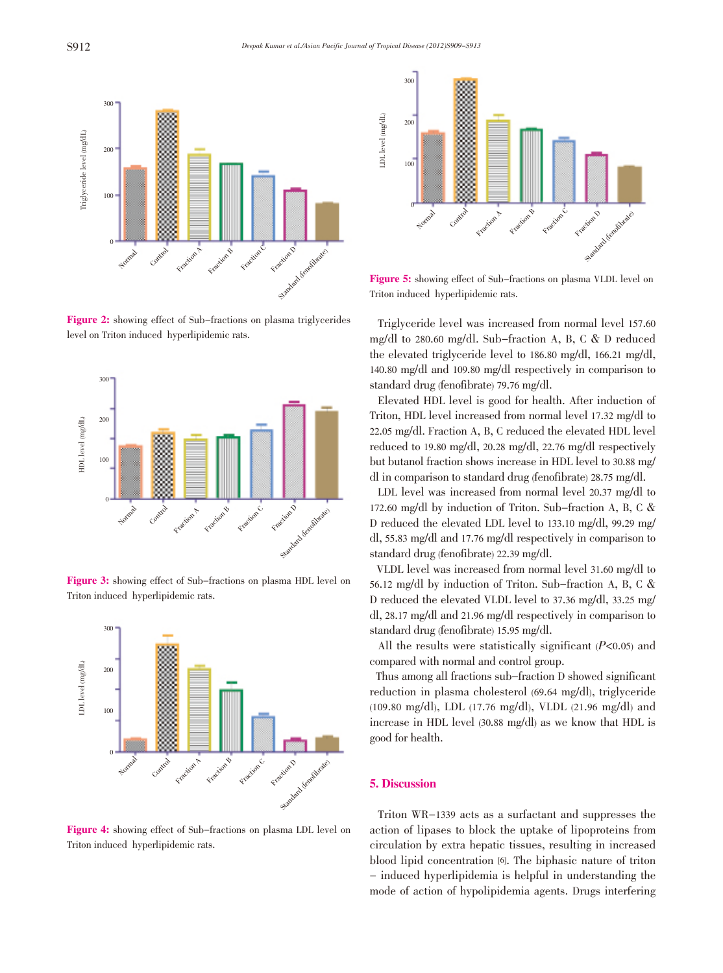

Figure 2: showing effect of Sub-fractions on plasma triglycerides level on Triton induced hyperlipidemic rats.





Triton induced hyperlipidemic rats.



Figure 4: showing effect of Sub-fractions on plasma LDL level on Triton induced hyperlipidemic rats.



Figure 5: showing effect of Sub-fractions on plasma VLDL level on Triton induced hyperlipidemic rats.

Triglyceride level was increased from normal level 157.60 mg/dl to 280.60 mg/dl. Sub-fraction A, B, C & D reduced the elevated triglyceride level to 186.80 mg/dl, 166.21 mg/dl, 140.80 mg/dl and 109.80 mg/dl respectively in comparison to standard drug (fenofibrate) 79.76 mg/dl.

Elevated HDL level is good for health. After induction of Triton, HDL level increased from normal level 17.32 mg/dl to 22.05 mg/dl. Fraction A, B, C reduced the elevated HDL level reduced to 19.80 mg/dl, 20.28 mg/dl, 22.76 mg/dl respectively but butanol fraction shows increase in HDL level to 30.88 mg/ dl in comparison to standard drug (fenofibrate) 28.75 mg/dl.

LDL level was increased from normal level 20.37 mg/dl to 172.60 mg/dl by induction of Triton. Sub-fraction A, B, C & D reduced the elevated LDL level to 133.10 mg/dl, 99.29 mg/ dl, 55.83 mg/dl and 17.76 mg/dl respectively in comparison to standard drug (fenofibrate) 22.39 mg/dl.

VLDL level was increased from normal level 31.60 mg/dl to 56.12 mg/dl by induction of Triton. Sub-fraction A, B, C & D reduced the elevated VLDL level to 37.36 mg/dl, 33.25 mg/ dl, 28.17 mg/dl and 21.96 mg/dl respectively in comparison to standard drug (fenofibrate) 15.95 mg/dl.

All the results were statistically significant  $(P<0.05)$  and compared with normal and control group.

Thus among all fractions sub-fraction D showed significant reduction in plasma cholesterol (69.64 mg/dl), triglyceride (109.80 mg/dl), LDL (17.76 mg/dl), VLDL (21.96 mg/dl) and increase in HDL level (30.88 mg/dl) as we know that HDL is good for health.

#### 5. Discussion

Triton WR-1339 acts as a surfactant and suppresses the action of lipases to block the uptake of lipoproteins from circulation by extra hepatic tissues, resulting in increased blood lipid concentration [6]. The biphasic nature of triton - induced hyperlipidemia is helpful in understanding the mode of action of hypolipidemia agents. Drugs interfering